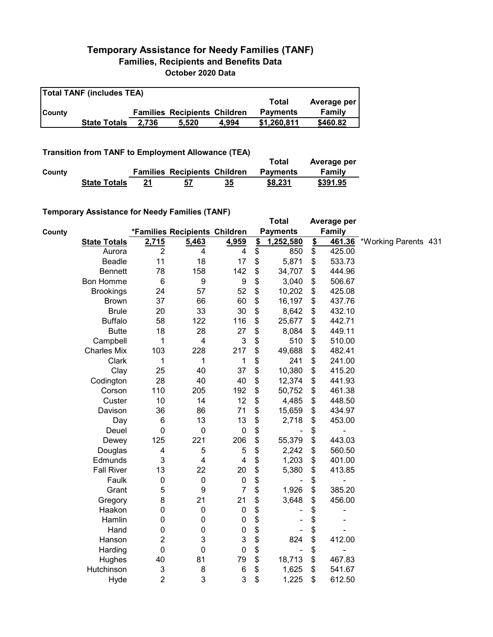## **Temporary Assistance for Needy Families (TANF) Families, Recipients and Benefits Data October 2020 Data**

| <b>Total TANF (includes TEA)</b> |                     |       |                                     |       |                 |             |  |  |
|----------------------------------|---------------------|-------|-------------------------------------|-------|-----------------|-------------|--|--|
|                                  |                     |       |                                     |       | Total           | Average per |  |  |
| <b>County</b>                    |                     |       | <b>Families Recipients Children</b> |       | <b>Payments</b> | Family      |  |  |
|                                  | <b>State Totals</b> | 2.736 | 5.520                               | 4.994 | \$1,260,811     | \$460.82    |  |  |

**Transition from TANF to Employment Allowance (TEA)**

|        | <b>ITAIISIUVII IIVIII TANT LO EIIIPIOVIIIEIIL AIIUWAIICE (TEA)</b> | Total | Average per                         |    |                 |          |
|--------|--------------------------------------------------------------------|-------|-------------------------------------|----|-----------------|----------|
| County |                                                                    |       | <b>Families Recipients Children</b> |    | <b>Payments</b> | Family   |
|        | <b>State Totals</b>                                                | 21    | 57                                  | 35 | \$8,231         | \$391.95 |

## **Temporary Assistance for Needy Families (TANF)**

|        | $1$ chiporury Assistance for Necay Families (FANT) |                  |                               |                           | <b>Total</b>         |               | Average per   |                      |  |
|--------|----------------------------------------------------|------------------|-------------------------------|---------------------------|----------------------|---------------|---------------|----------------------|--|
| County |                                                    |                  | *Families Recipients Children |                           | <b>Payments</b>      |               | <b>Family</b> |                      |  |
|        | <b>State Totals</b>                                | 2,715            | 5,463                         | 4,959                     | \$<br>1,252,580      | $\frac{2}{2}$ | 461.36        | *Working Parents 431 |  |
|        | Aurora                                             | $\overline{2}$   | 4                             | 4                         | \$<br>850            | \$            | 425.00        |                      |  |
|        | Beadle                                             | 11               | 18                            | 17                        | \$<br>5,871          | \$            | 533.73        |                      |  |
|        | <b>Bennett</b>                                     | 78               | 158                           | 142                       | \$<br>34,707         | \$            | 444.96        |                      |  |
|        | Bon Homme                                          | 6                | 9                             | $\boldsymbol{9}$          | \$<br>3,040          | \$            | 506.67        |                      |  |
|        | <b>Brookings</b>                                   | 24               | 57                            | 52                        | \$<br>10,202         | \$            | 425.08        |                      |  |
|        | <b>Brown</b>                                       | 37               | 66                            | 60                        | \$<br>16,197         | \$            | 437.76        |                      |  |
|        | <b>Brule</b>                                       | 20               | 33                            | 30                        | \$<br>8,642          | \$            | 432.10        |                      |  |
|        | <b>Buffalo</b>                                     | 58               | 122                           | 116                       | \$<br>25,677         | \$            | 442.71        |                      |  |
|        | <b>Butte</b>                                       | 18               | 28                            | 27                        | \$<br>8,084          | \$            | 449.11        |                      |  |
|        | Campbell                                           | 1                | 4                             | $\ensuremath{\mathsf{3}}$ | \$<br>510            | \$            | 510.00        |                      |  |
|        | <b>Charles Mix</b>                                 | 103              | 228                           | 217                       | \$<br>49,688         | \$            | 482.41        |                      |  |
|        | Clark                                              | 1                | 1                             | 1                         | \$<br>241            | \$            | 241.00        |                      |  |
|        | Clay                                               | 25               | 40                            | 37                        | \$<br>10,380         | \$            | 415.20        |                      |  |
|        | Codington                                          | 28               | 40                            | 40                        | \$<br>12,374         | \$            | 441.93        |                      |  |
|        | Corson                                             | 110              | 205                           | 192                       | \$<br>50,752         | \$            | 461.38        |                      |  |
|        | Custer                                             | 10               | 14                            | 12                        | \$<br>4,485          | \$            | 448.50        |                      |  |
|        | Davison                                            | 36               | 86                            | 71                        | \$<br>15,659         | \$            | 434.97        |                      |  |
|        | Day                                                | 6                | 13                            | 13                        | \$<br>2,718          | \$            | 453.00        |                      |  |
|        | Deuel                                              | $\mathbf 0$      | $\mathbf 0$                   | $\mathbf 0$               | \$                   | \$            |               |                      |  |
|        | Dewey                                              | 125              | 221                           | 206                       | \$<br>55,379         | \$            | 443.03        |                      |  |
|        | Douglas                                            | 4                | 5                             | 5                         | \$<br>2,242          | \$            | 560.50        |                      |  |
|        | Edmunds                                            | 3                | 4                             | 4                         | \$<br>1,203          | \$            | 401.00        |                      |  |
|        | <b>Fall River</b>                                  | 13               | 22                            | 20                        | \$<br>5,380          | \$            | 413.85        |                      |  |
|        | Faulk                                              | $\boldsymbol{0}$ | $\pmb{0}$                     | $\mathbf 0$               | \$                   | \$            |               |                      |  |
|        | Grant                                              | 5                | 9                             | $\overline{7}$            | \$<br>1,926          | \$            | 385.20        |                      |  |
|        | Gregory                                            | 8                | 21                            | 21                        | \$<br>3,648          | \$            | 456.00        |                      |  |
|        | Haakon                                             | 0                | 0                             | $\pmb{0}$                 | \$                   | \$            |               |                      |  |
|        | Hamlin                                             | $\mathbf 0$      | 0                             | $\mathbf 0$               | \$                   | \$            |               |                      |  |
|        | Hand                                               | 0                | 0                             | 0                         | \$                   | \$            |               |                      |  |
|        | Hanson                                             | $\boldsymbol{2}$ | 3                             | 3                         | \$<br>824            | \$            | 412.00        |                      |  |
|        | Harding                                            | $\mathbf 0$      | 0                             | $\mathbf 0$               | \$<br>$\blacksquare$ | \$            |               |                      |  |
|        | Hughes                                             | 40               | 81                            | 79                        | \$<br>18,713         | \$            | 467.83        |                      |  |
|        | Hutchinson                                         | $\mathsf 3$      | 8                             | 6                         | \$<br>1,625          | \$            | 541.67        |                      |  |
|        | Hyde                                               | $\overline{2}$   | 3                             | 3                         | \$<br>1,225          | \$            | 612.50        |                      |  |